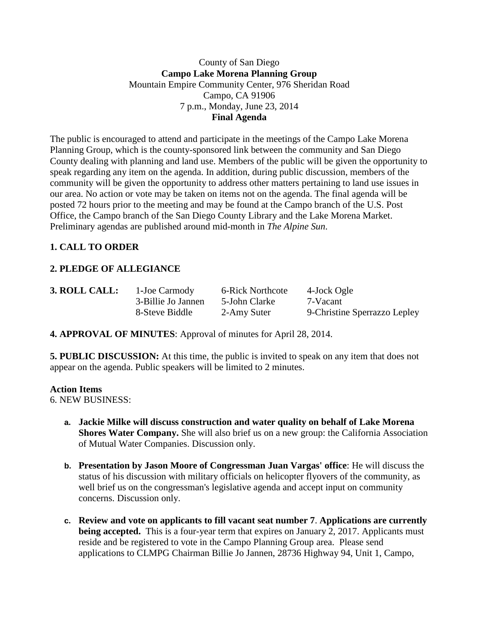# County of San Diego **Campo Lake Morena Planning Group** Mountain Empire Community Center, 976 Sheridan Road Campo, CA 91906 7 p.m., Monday, June 23, 2014 **Final Agenda**

The public is encouraged to attend and participate in the meetings of the Campo Lake Morena Planning Group, which is the county-sponsored link between the community and San Diego County dealing with planning and land use. Members of the public will be given the opportunity to speak regarding any item on the agenda. In addition, during public discussion, members of the community will be given the opportunity to address other matters pertaining to land use issues in our area. No action or vote may be taken on items not on the agenda. The final agenda will be posted 72 hours prior to the meeting and may be found at the Campo branch of the U.S. Post Office, the Campo branch of the San Diego County Library and the Lake Morena Market. Preliminary agendas are published around mid-month in *The Alpine Sun*.

# **1. CALL TO ORDER**

# **2. PLEDGE OF ALLEGIANCE**

| 3. ROLL CALL: | 1-Joe Carmody      | 6-Rick Northcote | 4-Jock Ogle                  |
|---------------|--------------------|------------------|------------------------------|
|               | 3-Billie Jo Jannen | 5-John Clarke    | 7-Vacant                     |
|               | 8-Steve Biddle     | 2-Amy Suter      | 9-Christine Sperrazzo Lepley |

**4. APPROVAL OF MINUTES**: Approval of minutes for April 28, 2014.

**5. PUBLIC DISCUSSION:** At this time, the public is invited to speak on any item that does not appear on the agenda. Public speakers will be limited to 2 minutes.

#### **Action Items**

6. NEW BUSINESS:

- **a. Jackie Milke will discuss construction and water quality on behalf of Lake Morena Shores Water Company.** She will also brief us on a new group: the California Association of Mutual Water Companies. Discussion only.
- **b. Presentation by Jason Moore of Congressman Juan Vargas' office**: He will discuss the status of his discussion with military officials on helicopter flyovers of the community, as well brief us on the congressman's legislative agenda and accept input on community concerns. Discussion only.
- **c. Review and vote on applicants to fill vacant seat number 7**. **Applications are currently being accepted.** This is a four-year term that expires on January 2, 2017. Applicants must reside and be registered to vote in the Campo Planning Group area. Please send applications to CLMPG Chairman Billie Jo Jannen, 28736 Highway 94, Unit 1, Campo,